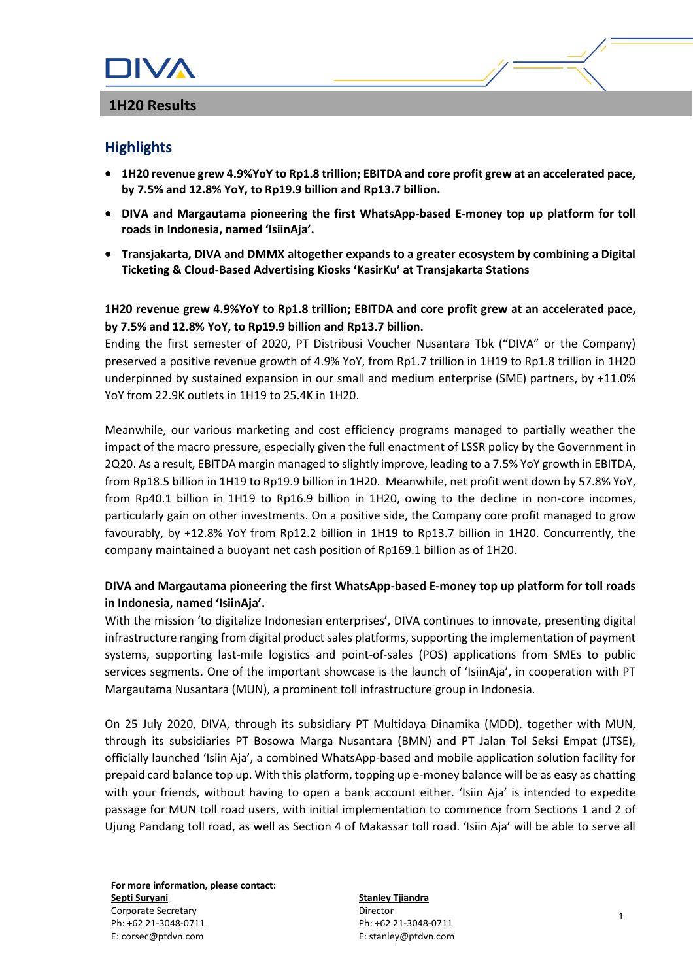# **Highlights**

- **1H20 revenue grew 4.9%YoY to Rp1.8 trillion; EBITDA and core profit grew at an accelerated pace, by 7.5% and 12.8% YoY, to Rp19.9 billion and Rp13.7 billion.**
- **DIVA and Margautama pioneering the first WhatsApp-based E-money top up platform for toll roads in Indonesia, named 'IsiinAja'.**
- **Transjakarta, DIVA and DMMX altogether expands to a greater ecosystem by combining a Digital Ticketing & Cloud-Based Advertising Kiosks 'KasirKu' at Transjakarta Stations**

# **1H20 revenue grew 4.9%YoY to Rp1.8 trillion; EBITDA and core profit grew at an accelerated pace, by 7.5% and 12.8% YoY, to Rp19.9 billion and Rp13.7 billion.**

Ending the first semester of 2020, PT Distribusi Voucher Nusantara Tbk ("DIVA" or the Company) preserved a positive revenue growth of 4.9% YoY, from Rp1.7 trillion in 1H19 to Rp1.8 trillion in 1H20 underpinned by sustained expansion in our small and medium enterprise (SME) partners, by +11.0% YoY from 22.9K outlets in 1H19 to 25.4K in 1H20.

Meanwhile, our various marketing and cost efficiency programs managed to partially weather the impact of the macro pressure, especially given the full enactment of LSSR policy by the Government in 2Q20. As a result, EBITDA margin managed to slightly improve, leading to a 7.5% YoY growth in EBITDA, from Rp18.5 billion in 1H19 to Rp19.9 billion in 1H20. Meanwhile, net profit went down by 57.8% YoY, from Rp40.1 billion in 1H19 to Rp16.9 billion in 1H20, owing to the decline in non-core incomes, particularly gain on other investments. On a positive side, the Company core profit managed to grow favourably, by +12.8% YoY from Rp12.2 billion in 1H19 to Rp13.7 billion in 1H20. Concurrently, the company maintained a buoyant net cash position of Rp169.1 billion as of 1H20.

## **DIVA and Margautama pioneering the first WhatsApp-based E-money top up platform for toll roads in Indonesia, named 'IsiinAja'.**

With the mission 'to digitalize Indonesian enterprises', DIVA continues to innovate, presenting digital infrastructure ranging from digital product sales platforms, supporting the implementation of payment systems, supporting last-mile logistics and point-of-sales (POS) applications from SMEs to public services segments. One of the important showcase is the launch of 'IsiinAja', in cooperation with PT Margautama Nusantara (MUN), a prominent toll infrastructure group in Indonesia.

On 25 July 2020, DIVA, through its subsidiary PT Multidaya Dinamika (MDD), together with MUN, through its subsidiaries PT Bosowa Marga Nusantara (BMN) and PT Jalan Tol Seksi Empat (JTSE), officially launched 'Isiin Aja', a combined WhatsApp-based and mobile application solution facility for prepaid card balance top up. With this platform, topping up e-money balance will be as easy as chatting with your friends, without having to open a bank account either. 'Isiin Aja' is intended to expedite passage for MUN toll road users, with initial implementation to commence from Sections 1 and 2 of Ujung Pandang toll road, as well as Section 4 of Makassar toll road. 'Isiin Aja' will be able to serve all

**For more information, please contact: Septi Suryani** Corporate Secretary Ph: +62 21-3048-0711 E: corsec@ptdvn.com

**Stanley Tjiandra** Director Ph: +62 21-3048-0711 E: stanley@ptdvn.com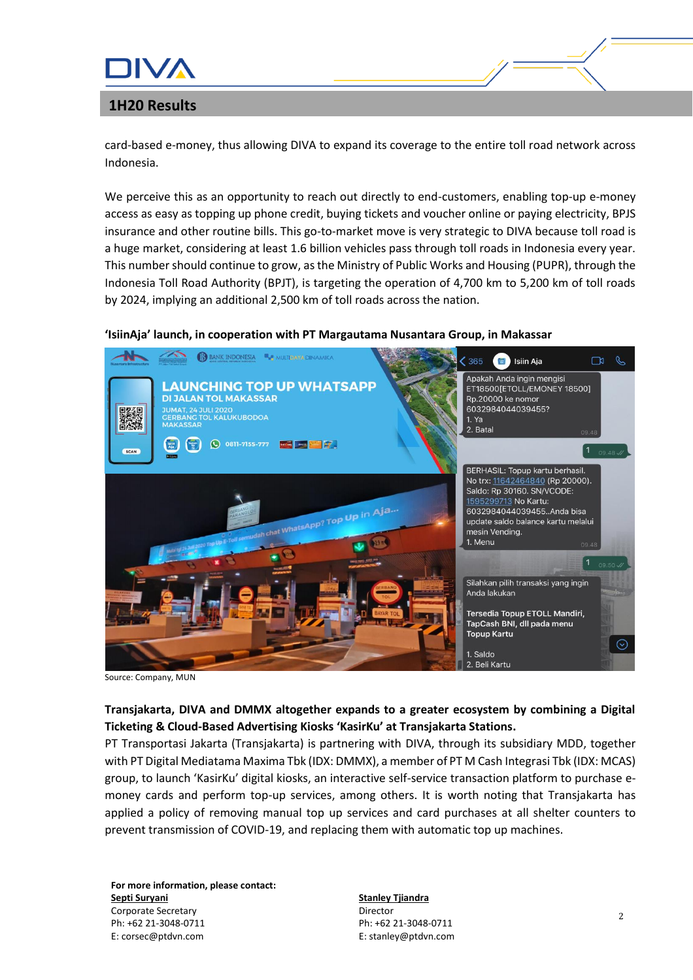

card-based e-money, thus allowing DIVA to expand its coverage to the entire toll road network across Indonesia.

We perceive this as an opportunity to reach out directly to end-customers, enabling top-up e-money access as easy as topping up phone credit, buying tickets and voucher online or paying electricity, BPJS insurance and other routine bills. This go-to-market move is very strategic to DIVA because toll road is a huge market, considering at least 1.6 billion vehicles pass through toll roads in Indonesia every year. This number should continue to grow, as the Ministry of Public Works and Housing (PUPR), through the Indonesia Toll Road Authority (BPJT), is targeting the operation of 4,700 km to 5,200 km of toll roads by 2024, implying an additional 2,500 km of toll roads across the nation.

### **'IsiinAja' launch, in cooperation with PT Margautama Nusantara Group, in Makassar**



Source: Company, MUN

## **Transjakarta, DIVA and DMMX altogether expands to a greater ecosystem by combining a Digital Ticketing & Cloud-Based Advertising Kiosks 'KasirKu' at Transjakarta Stations.**

PT Transportasi Jakarta (Transjakarta) is partnering with DIVA, through its subsidiary MDD, together with PT Digital Mediatama Maxima Tbk (IDX: DMMX), a member of PT M Cash Integrasi Tbk (IDX: MCAS) group, to launch 'KasirKu' digital kiosks, an interactive self-service transaction platform to purchase emoney cards and perform top-up services, among others. It is worth noting that Transjakarta has applied a policy of removing manual top up services and card purchases at all shelter counters to prevent transmission of COVID-19, and replacing them with automatic top up machines.

**For more information, please contact: Septi Suryani** Corporate Secretary Ph: +62 21-3048-0711 E: corsec@ptdvn.com

**Stanley Tjiandra** Director Ph: +62 21-3048-0711 E: stanley@ptdvn.com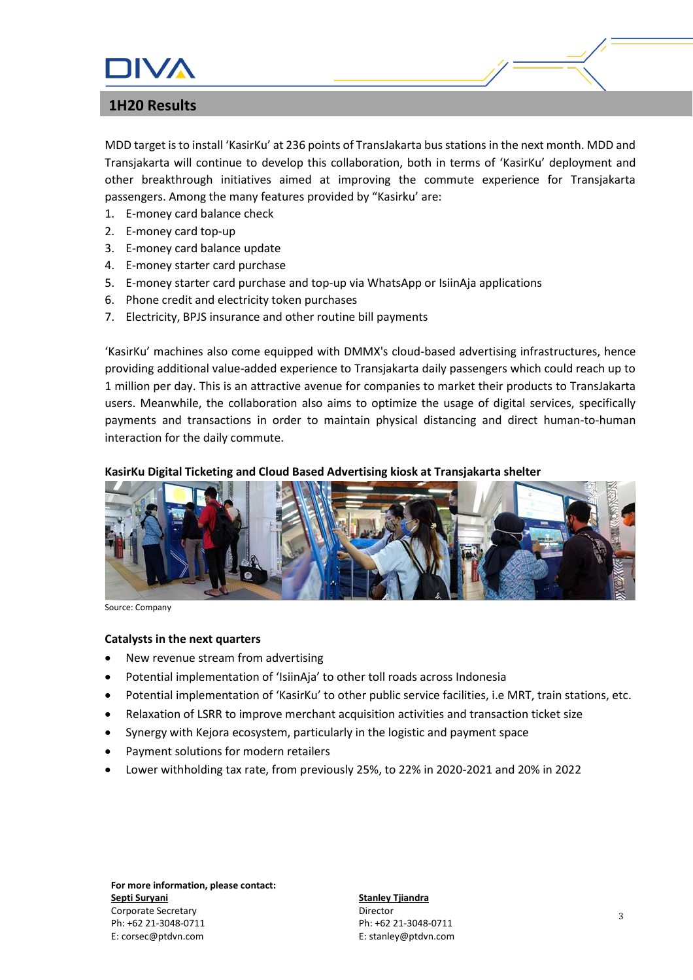

MDD target is to install 'KasirKu' at 236 points of TransJakarta bus stations in the next month. MDD and Transjakarta will continue to develop this collaboration, both in terms of 'KasirKu' deployment and other breakthrough initiatives aimed at improving the commute experience for Transjakarta passengers. Among the many features provided by "Kasirku' are:

- 1. E-money card balance check
- 2. E-money card top-up
- 3. E-money card balance update
- 4. E-money starter card purchase
- 5. E-money starter card purchase and top-up via WhatsApp or IsiinAja applications
- 6. Phone credit and electricity token purchases
- 7. Electricity, BPJS insurance and other routine bill payments

'KasirKu' machines also come equipped with DMMX's cloud-based advertising infrastructures, hence providing additional value-added experience to Transjakarta daily passengers which could reach up to 1 million per day. This is an attractive avenue for companies to market their products to TransJakarta users. Meanwhile, the collaboration also aims to optimize the usage of digital services, specifically payments and transactions in order to maintain physical distancing and direct human-to-human interaction for the daily commute.

### **KasirKu Digital Ticketing and Cloud Based Advertising kiosk at Transjakarta shelter**



Source: Company

### **Catalysts in the next quarters**

- New revenue stream from advertising
- Potential implementation of 'IsiinAja' to other toll roads across Indonesia
- Potential implementation of 'KasirKu' to other public service facilities, i.e MRT, train stations, etc.
- Relaxation of LSRR to improve merchant acquisition activities and transaction ticket size
- Synergy with Kejora ecosystem, particularly in the logistic and payment space
- Payment solutions for modern retailers
- Lower withholding tax rate, from previously 25%, to 22% in 2020-2021 and 20% in 2022

**For more information, please contact: Septi Suryani** Corporate Secretary Ph: +62 21-3048-0711 E: corsec@ptdvn.com

**Stanley Tjiandra** Director Ph: +62 21-3048-0711 E: stanley@ptdvn.com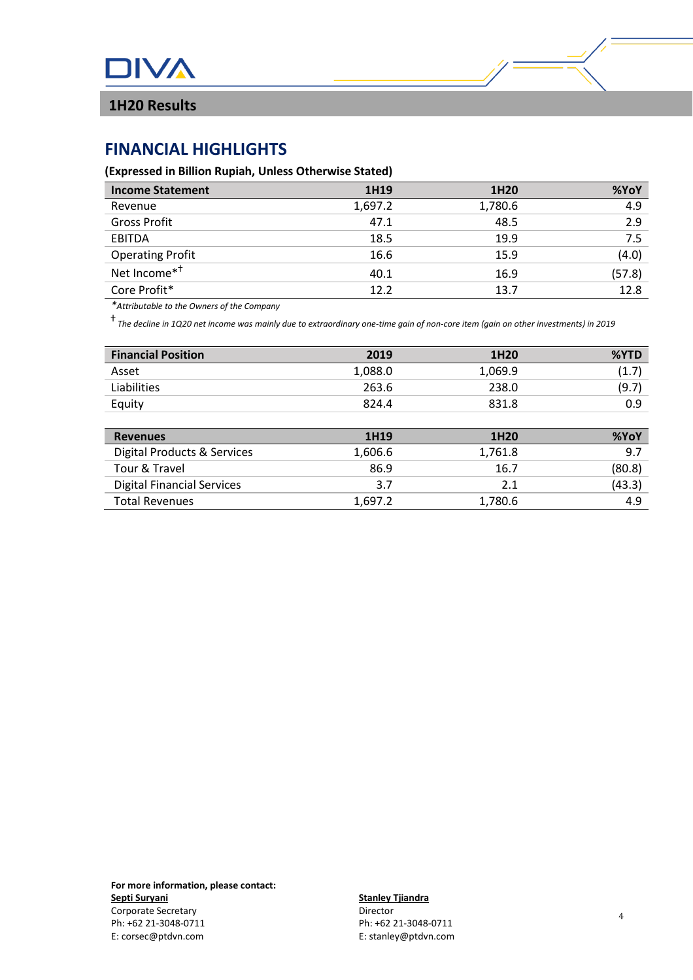

# **FINANCIAL HIGHLIGHTS**

### **(Expressed in Billion Rupiah, Unless Otherwise Stated)**

| <b>Income Statement</b>  | 1H19    | 1H20    | %YoY   |
|--------------------------|---------|---------|--------|
| Revenue                  | 1,697.2 | 1,780.6 | 4.9    |
| <b>Gross Profit</b>      | 47.1    | 48.5    | 2.9    |
| EBITDA                   | 18.5    | 19.9    | 7.5    |
| <b>Operating Profit</b>  | 16.6    | 15.9    | (4.0)  |
| Net Income <sup>*†</sup> | 40.1    | 16.9    | (57.8) |
| Core Profit*             | 12.2    | 13.7    | 12.8   |

*\*Attributable to the Owners of the Company*

ⴕ *The decline in 1Q20 net income was mainly due to extraordinary one-time gain of non-core item (gain on other investments) in 2019*

| <b>Financial Position</b>              | 2019    | 1H20    | %YTD   |
|----------------------------------------|---------|---------|--------|
| Asset                                  | 1,088.0 | 1,069.9 | (1.7)  |
| Liabilities                            | 263.6   | 238.0   | (9.7)  |
| Equity                                 | 824.4   | 831.8   | 0.9    |
|                                        |         |         |        |
| <b>Revenues</b>                        | 1H19    | 1H20    | %YoY   |
| <b>Digital Products &amp; Services</b> | 1,606.6 | 1,761.8 | 9.7    |
| Tour & Travel                          | 86.9    | 16.7    | (80.8) |
| <b>Digital Financial Services</b>      | 3.7     | 2.1     | (43.3) |
| <b>Total Revenues</b>                  | 1,697.2 | 1,780.6 | 4.9    |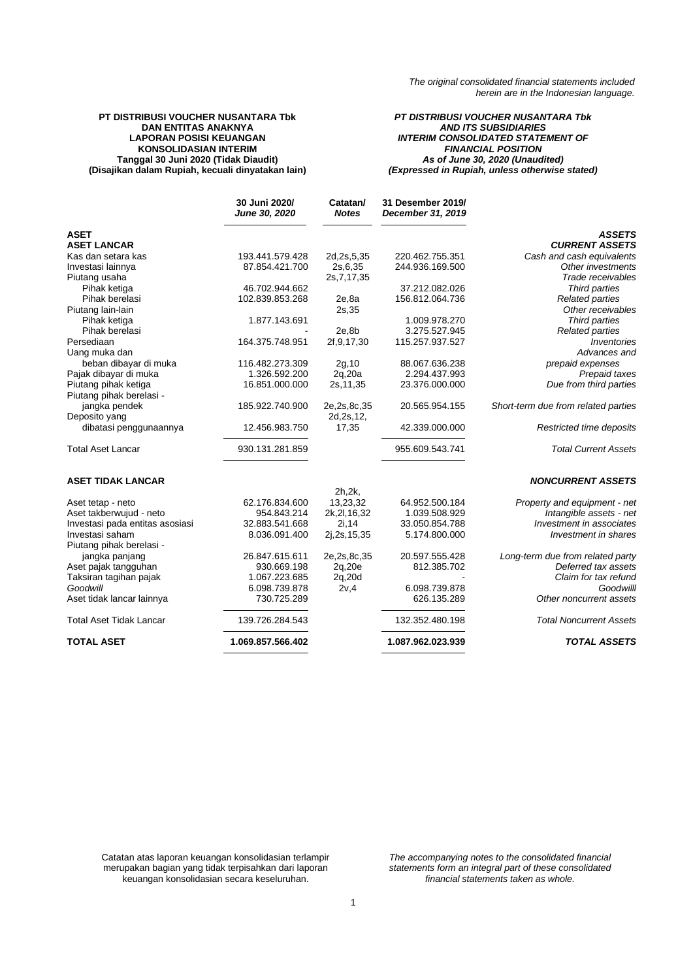### **PT DISTRIBUSI VOUCHER NUSANTARA Tbk DAN ENTITAS ANAKNYA LAPORAN POSISI KEUANGAN KONSOLIDASIAN INTERIM Tanggal 30 Juni 2020 (Tidak Diaudit) (Disajikan dalam Rupiah, kecuali dinyatakan lain)**

### *PT DISTRIBUSI VOUCHER NUSANTARA Tbk AND ITS SUBSIDIARIES INTERIM CONSOLIDATED STATEMENT OF FINANCIAL POSITION As of June 30, 2020 (Unaudited) (Expressed in Rupiah, unless otherwise stated)*

|                                 | 30 Juni 2020/<br>June 30, 2020 | Catatan/<br><b>Notes</b> | 31 Desember 2019/<br>December 31, 2019 |                                     |
|---------------------------------|--------------------------------|--------------------------|----------------------------------------|-------------------------------------|
| <b>ASET</b>                     |                                |                          |                                        | <b>ASSETS</b>                       |
| <b>ASET LANCAR</b>              |                                |                          |                                        | <b>CURRENT ASSETS</b>               |
| Kas dan setara kas              | 193.441.579.428                | 2d, 2s, 5, 35            | 220.462.755.351                        | Cash and cash equivalents           |
| Investasi lainnya               | 87.854.421.700                 | 2s, 6, 35                | 244.936.169.500                        | Other investments                   |
| Piutang usaha                   |                                | 2s, 7, 17, 35            |                                        | Trade receivables                   |
| Pihak ketiga                    | 46.702.944.662                 |                          | 37.212.082.026                         | Third parties                       |
| Pihak berelasi                  | 102.839.853.268                | 2e, 8a                   | 156.812.064.736                        | <b>Related parties</b>              |
| Piutang lain-lain               |                                | 2s, 35                   |                                        | Other receivables                   |
| Pihak ketiga                    | 1.877.143.691                  |                          | 1.009.978.270                          | Third parties                       |
| Pihak berelasi                  |                                | 2e,8b                    | 3.275.527.945                          | <b>Related parties</b>              |
| Persediaan                      | 164.375.748.951                | 2f, 9, 17, 30            | 115.257.937.527                        | Inventories                         |
| Uang muka dan                   |                                |                          |                                        | Advances and                        |
| beban dibayar di muka           | 116.482.273.309                | 2g, 10                   | 88.067.636.238                         | prepaid expenses                    |
| Pajak dibayar di muka           | 1.326.592.200                  | 2q,20a                   | 2.294.437.993                          | Prepaid taxes                       |
| Piutang pihak ketiga            | 16.851.000.000                 | 2s, 11, 35               | 23.376.000.000                         | Due from third parties              |
| Piutang pihak berelasi -        |                                |                          |                                        |                                     |
| jangka pendek                   | 185.922.740.900                | 2e, 2s, 8c, 35           | 20.565.954.155                         | Short-term due from related parties |
| Deposito yang                   |                                | 2d, 2s, 12,              |                                        |                                     |
| dibatasi penggunaannya          | 12.456.983.750                 | 17,35                    | 42.339.000.000                         | Restricted time deposits            |
| <b>Total Aset Lancar</b>        | 930.131.281.859                |                          | 955.609.543.741                        | <b>Total Current Assets</b>         |
| <b>ASET TIDAK LANCAR</b>        |                                |                          |                                        | <b>NONCURRENT ASSETS</b>            |
|                                 |                                | 2h, 2k,                  |                                        |                                     |
| Aset tetap - neto               | 62.176.834.600                 | 13,23,32                 | 64.952.500.184                         | Property and equipment - net        |
| Aset takberwujud - neto         | 954.843.214                    | 2k, 2l, 16, 32           | 1.039.508.929                          | Intangible assets - net             |
| Investasi pada entitas asosiasi | 32.883.541.668                 | 2i, 14                   | 33.050.854.788                         | Investment in associates            |
| Investasi saham                 | 8.036.091.400                  | 2j, 2s, 15, 35           | 5.174.800.000                          | Investment in shares                |
| Piutang pihak berelasi -        |                                |                          |                                        |                                     |
| jangka panjang                  | 26.847.615.611                 | 2e, 2s, 8c, 35           | 20.597.555.428                         | Long-term due from related party    |
| Aset pajak tangguhan            | 930.669.198                    | 2q,20e                   | 812.385.702                            | Deferred tax assets                 |
| Taksiran tagihan pajak          | 1.067.223.685                  | 2q,20d                   |                                        | Claim for tax refund                |
| Goodwill                        | 6.098.739.878                  | 2v,4                     | 6.098.739.878                          | Goodwilll                           |
| Aset tidak lancar lainnya       | 730.725.289                    |                          | 626.135.289                            | Other noncurrent assets             |
| <b>Total Aset Tidak Lancar</b>  | 139.726.284.543                |                          | 132.352.480.198                        | <b>Total Noncurrent Assets</b>      |
| <b>TOTAL ASET</b>               | 1.069.857.566.402              |                          | 1.087.962.023.939                      | <b>TOTAL ASSETS</b>                 |

Catatan atas laporan keuangan konsolidasian terlampir merupakan bagian yang tidak terpisahkan dari laporan keuangan konsolidasian secara keseluruhan.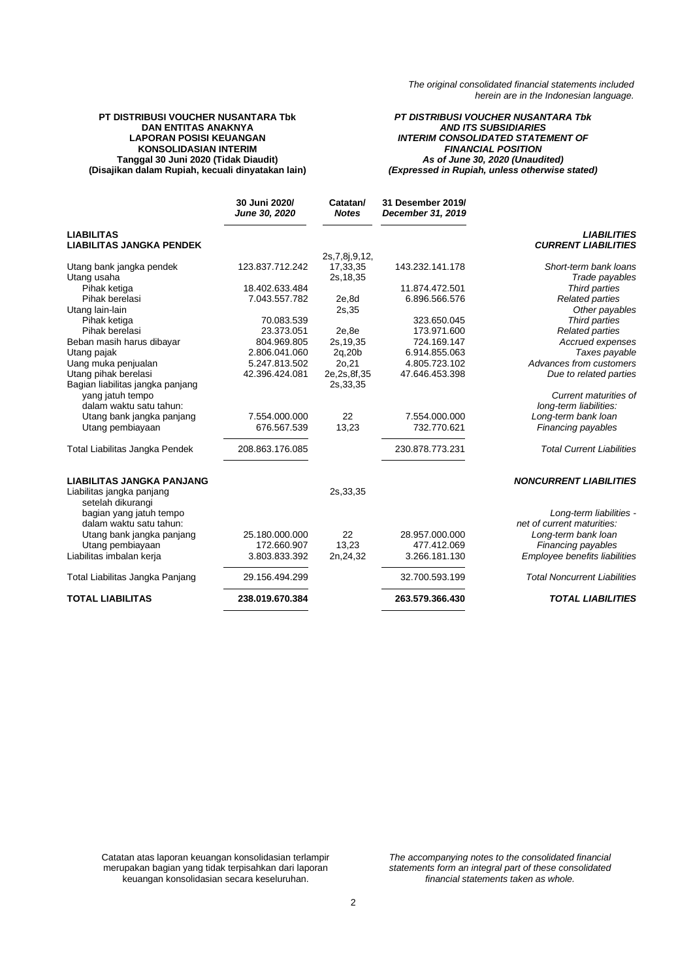### **PT DISTRIBUSI VOUCHER NUSANTARA Tbk DAN ENTITAS ANAKNYA LAPORAN POSISI KEUANGAN KONSOLIDASIAN INTERIM Tanggal 30 Juni 2020 (Tidak Diaudit) (Disajikan dalam Rupiah, kecuali dinyatakan lain)**

*PT DISTRIBUSI VOUCHER NUSANTARA Tbk AND ITS SUBSIDIARIES INTERIM CONSOLIDATED STATEMENT OF FINANCIAL POSITION As of June 30, 2020 (Unaudited) (Expressed in Rupiah, unless otherwise stated)*

|                                                               | 30 Juni 2020/<br>June 30, 2020 | Catatan/<br><b>Notes</b> | 31 Desember 2019/<br>December 31, 2019 |                                                  |
|---------------------------------------------------------------|--------------------------------|--------------------------|----------------------------------------|--------------------------------------------------|
| <b>LIABILITAS</b><br><b>LIABILITAS JANGKA PENDEK</b>          |                                |                          |                                        | <b>LIABILITIES</b><br><b>CURRENT LIABILITIES</b> |
|                                                               |                                | 2s, 7, 8j, 9, 12,        |                                        |                                                  |
| Utang bank jangka pendek                                      | 123.837.712.242                | 17,33,35                 | 143.232.141.178                        | Short-term bank loans                            |
| Utang usaha                                                   |                                | 2s, 18, 35               |                                        | Trade payables                                   |
| Pihak ketiga                                                  | 18.402.633.484                 |                          | 11.874.472.501                         | Third parties                                    |
| Pihak berelasi                                                | 7.043.557.782                  | 2e,8d                    | 6.896.566.576                          | <b>Related parties</b>                           |
| Utang lain-lain                                               |                                | 2s, 35                   |                                        | Other payables                                   |
| Pihak ketiga                                                  | 70.083.539                     |                          | 323.650.045                            | Third parties                                    |
| Pihak berelasi                                                | 23.373.051                     | 2e.8e                    | 173.971.600                            | <b>Related parties</b>                           |
| Beban masih harus dibayar                                     | 804.969.805                    | 2s, 19, 35               | 724.169.147                            | Accrued expenses                                 |
| Utang pajak                                                   | 2.806.041.060                  | 2q,20b                   | 6.914.855.063                          | Taxes payable                                    |
| Uang muka penjualan                                           | 5.247.813.502                  | 20,21                    | 4.805.723.102                          | Advances from customers                          |
| Utang pihak berelasi                                          | 42.396.424.081                 | 2e, 2s, 8f, 35           | 47.646.453.398                         | Due to related parties                           |
| Bagian liabilitas jangka panjang                              |                                | 2s, 33, 35               |                                        |                                                  |
| yang jatuh tempo                                              |                                |                          |                                        | Current maturities of                            |
| dalam waktu satu tahun:                                       |                                |                          |                                        | long-term liabilities:                           |
| Utang bank jangka panjang                                     | 7.554.000.000                  | 22                       | 7.554.000.000                          | Long-term bank loan                              |
| Utang pembiayaan                                              | 676.567.539                    | 13,23                    | 732.770.621                            | Financing payables                               |
|                                                               |                                |                          |                                        |                                                  |
| Total Liabilitas Jangka Pendek                                | 208.863.176.085                |                          | 230.878.773.231                        | <b>Total Current Liabilities</b>                 |
| <b>LIABILITAS JANGKA PANJANG</b><br>Liabilitas jangka panjang |                                | 2s, 33, 35               |                                        | <b>NONCURRENT LIABILITIES</b>                    |
| setelah dikurangi                                             |                                |                          |                                        |                                                  |
| bagian yang jatuh tempo                                       |                                |                          |                                        | Long-term liabilities -                          |
| dalam waktu satu tahun:                                       |                                |                          |                                        | net of current maturities:                       |
| Utang bank jangka panjang                                     | 25.180.000.000                 | 22                       | 28.957.000.000                         | Long-term bank loan                              |
| Utang pembiayaan                                              | 172.660.907                    | 13,23                    | 477.412.069                            | Financing payables                               |
| Liabilitas imbalan kerja                                      | 3.803.833.392                  | 2n, 24, 32               | 3.266.181.130                          | Employee benefits liabilities                    |
| Total Liabilitas Jangka Panjang                               | 29.156.494.299                 |                          | 32.700.593.199                         | <b>Total Noncurrent Liabilities</b>              |
| <b>TOTAL LIABILITAS</b>                                       | 238.019.670.384                |                          | 263.579.366.430                        | <b>TOTAL LIABILITIES</b>                         |

Catatan atas laporan keuangan konsolidasian terlampir merupakan bagian yang tidak terpisahkan dari laporan keuangan konsolidasian secara keseluruhan.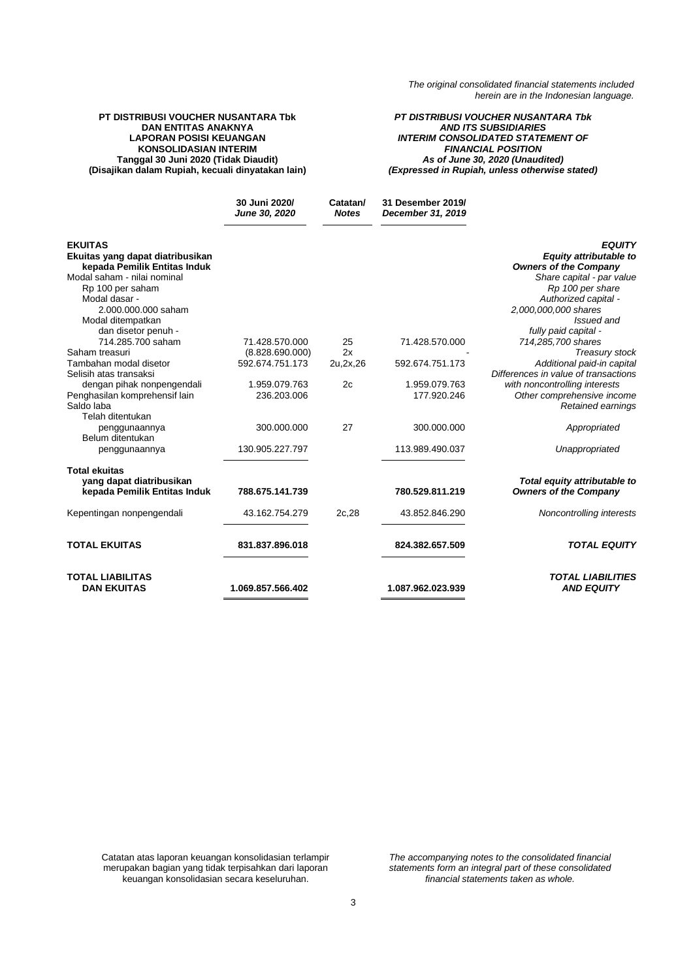### **PT DISTRIBUSI VOUCHER NUSANTARA Tbk DAN ENTITAS ANAKNYA LAPORAN POSISI KEUANGAN KONSOLIDASIAN INTERIM Tanggal 30 Juni 2020 (Tidak Diaudit) (Disajikan dalam Rupiah, kecuali dinyatakan lain)**

*PT DISTRIBUSI VOUCHER NUSANTARA Tbk AND ITS SUBSIDIARIES INTERIM CONSOLIDATED STATEMENT OF FINANCIAL POSITION As of June 30, 2020 (Unaudited) (Expressed in Rupiah, unless otherwise stated)*

|                                               | 30 Juni 2020/<br>June 30, 2020 | Catatan/<br><b>Notes</b> | 31 Desember 2019/<br>December 31, 2019 |                                               |
|-----------------------------------------------|--------------------------------|--------------------------|----------------------------------------|-----------------------------------------------|
| <b>EKUITAS</b>                                |                                |                          |                                        | <b>EQUITY</b>                                 |
| Ekuitas yang dapat diatribusikan              |                                |                          |                                        | Equity attributable to                        |
| kepada Pemilik Entitas Induk                  |                                |                          |                                        | <b>Owners of the Company</b>                  |
| Modal saham - nilai nominal                   |                                |                          |                                        | Share capital - par value                     |
| Rp 100 per saham                              |                                |                          |                                        | Rp 100 per share                              |
| Modal dasar -                                 |                                |                          |                                        | Authorized capital -                          |
| 2.000.000.000 saham                           |                                |                          |                                        | 2,000,000,000 shares                          |
| Modal ditempatkan                             |                                |                          |                                        | Issued and                                    |
| dan disetor penuh -                           |                                |                          |                                        | fully paid capital -                          |
| 714.285.700 saham                             | 71.428.570.000                 | 25                       | 71.428.570.000                         | 714,285,700 shares                            |
| Saham treasuri                                | (8.828.690.000)                | 2x                       |                                        | Treasury stock                                |
| Tambahan modal disetor                        | 592.674.751.173                | 2u, 2x, 26               | 592.674.751.173                        | Additional paid-in capital                    |
| Selisih atas transaksi                        |                                |                          |                                        | Differences in value of transactions          |
| dengan pihak nonpengendali                    | 1.959.079.763                  | 2c                       | 1.959.079.763                          | with noncontrolling interests                 |
| Penghasilan komprehensif lain                 | 236.203.006                    |                          | 177.920.246                            | Other comprehensive income                    |
| Saldo laba<br>Telah ditentukan                |                                |                          |                                        | Retained earnings                             |
|                                               |                                | 27                       | 300.000.000                            |                                               |
| penggunaannya<br>Belum ditentukan             | 300.000.000                    |                          |                                        | Appropriated                                  |
|                                               |                                |                          |                                        |                                               |
| penggunaannya                                 | 130.905.227.797                |                          | 113.989.490.037                        | Unappropriated                                |
| <b>Total ekuitas</b>                          |                                |                          |                                        |                                               |
| yang dapat diatribusikan                      |                                |                          |                                        | Total equity attributable to                  |
| kepada Pemilik Entitas Induk                  | 788.675.141.739                |                          | 780.529.811.219                        | <b>Owners of the Company</b>                  |
| Kepentingan nonpengendali                     | 43.162.754.279                 | 2c,28                    | 43.852.846.290                         | Noncontrolling interests                      |
| <b>TOTAL EKUITAS</b>                          | 831.837.896.018                |                          | 824.382.657.509                        | <b>TOTAL EQUITY</b>                           |
| <b>TOTAL LIABILITAS</b><br><b>DAN EKUITAS</b> | 1.069.857.566.402              |                          | 1.087.962.023.939                      | <b>TOTAL LIABILITIES</b><br><b>AND EQUITY</b> |
|                                               |                                |                          |                                        |                                               |

Catatan atas laporan keuangan konsolidasian terlampir merupakan bagian yang tidak terpisahkan dari laporan keuangan konsolidasian secara keseluruhan.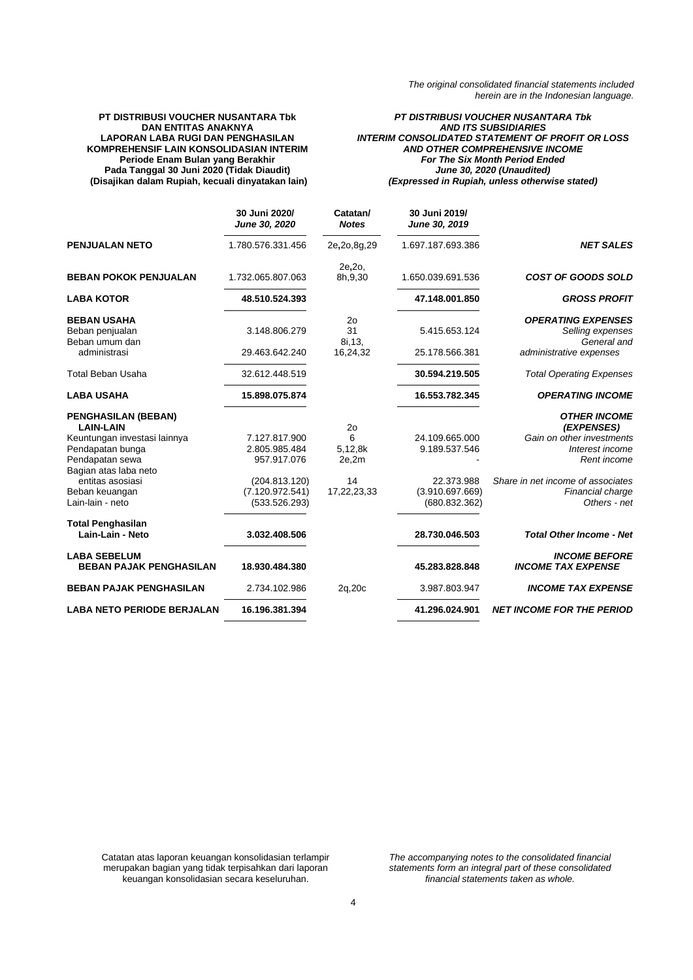#### **PT DISTRIBUSI VOUCHER NUSANTARA Tbk DAN ENTITAS ANAKNYA LAPORAN LABA RUGI DAN PENGHASILAN KOMPREHENSIF LAIN KONSOLIDASIAN INTERIM Periode Enam Bulan yang Berakhir Pada Tanggal 30 Juni 2020 (Tidak Diaudit) (Disajikan dalam Rupiah, kecuali dinyatakan lain)**

*PT DISTRIBUSI VOUCHER NUSANTARA Tbk AND ITS SUBSIDIARIES INTERIM CONSOLIDATED STATEMENT OF PROFIT OR LOSS AND OTHER COMPREHENSIVE INCOME For The Six Month Period Ended June 30, 2020 (Unaudited) (Expressed in Rupiah, unless otherwise stated)*

|                                                       | 30 Juni 2020/<br>June 30, 2020 | Catatan/<br><b>Notes</b> | 30 Juni 2019/<br>June 30, 2019 |                                                   |
|-------------------------------------------------------|--------------------------------|--------------------------|--------------------------------|---------------------------------------------------|
| <b>PENJUALAN NETO</b>                                 | 1.780.576.331.456              | 2e, 2o, 8g, 29           | 1.697.187.693.386              | <b>NET SALES</b>                                  |
| <b>BEBAN POKOK PENJUALAN</b>                          | 1.732.065.807.063              | 2e, 2o,<br>8h, 9, 30     | 1.650.039.691.536              | <b>COST OF GOODS SOLD</b>                         |
| <b>LABA KOTOR</b>                                     | 48.510.524.393                 |                          | 47.148.001.850                 | <b>GROSS PROFIT</b>                               |
| <b>BEBAN USAHA</b>                                    |                                | 2 <sub>0</sub>           |                                | <b>OPERATING EXPENSES</b>                         |
| Beban penjualan<br>Beban umum dan                     | 3.148.806.279                  | 31<br>8i, 13,            | 5.415.653.124                  | Selling expenses<br>General and                   |
| administrasi                                          | 29.463.642.240                 | 16,24,32                 | 25.178.566.381                 | administrative expenses                           |
| <b>Total Beban Usaha</b>                              | 32.612.448.519                 |                          | 30.594.219.505                 | <b>Total Operating Expenses</b>                   |
| <b>LABA USAHA</b>                                     | 15.898.075.874                 |                          | 16.553.782.345                 | <b>OPERATING INCOME</b>                           |
| <b>PENGHASILAN (BEBAN)</b><br><b>LAIN-LAIN</b>        |                                | 2 <sub>o</sub>           |                                | <b>OTHER INCOME</b><br>(EXPENSES)                 |
| Keuntungan investasi lainnya                          | 7.127.817.900                  | 6                        | 24.109.665.000                 | Gain on other investments                         |
| Pendapatan bunga                                      | 2.805.985.484                  | 5,12,8k                  | 9.189.537.546                  | Interest income                                   |
| Pendapatan sewa                                       | 957.917.076                    | 2e,2m                    |                                | Rent income                                       |
| Bagian atas laba neto                                 |                                |                          |                                |                                                   |
| entitas asosiasi                                      | (204.813.120)                  | 14                       | 22.373.988                     | Share in net income of associates                 |
| Beban keuangan                                        | (7.120.972.541)                | 17,22,23,33              | (3.910.697.669)                | Financial charge                                  |
| Lain-lain - neto                                      | (533.526.293)                  |                          | (680.832.362)                  | Others - net                                      |
| <b>Total Penghasilan</b>                              |                                |                          |                                |                                                   |
| Lain-Lain - Neto                                      | 3.032.408.506                  |                          | 28.730.046.503                 | <b>Total Other Income - Net</b>                   |
| <b>LABA SEBELUM</b><br><b>BEBAN PAJAK PENGHASILAN</b> | 18.930.484.380                 |                          | 45.283.828.848                 | <b>INCOME BEFORE</b><br><b>INCOME TAX EXPENSE</b> |
| <b>BEBAN PAJAK PENGHASILAN</b>                        | 2.734.102.986                  | 2q,20c                   | 3.987.803.947                  | <b>INCOME TAX EXPENSE</b>                         |
| <b>LABA NETO PERIODE BERJALAN</b>                     | 16.196.381.394                 |                          | 41.296.024.901                 | <b>NET INCOME FOR THE PERIOD</b>                  |

Catatan atas laporan keuangan konsolidasian terlampir merupakan bagian yang tidak terpisahkan dari laporan keuangan konsolidasian secara keseluruhan.